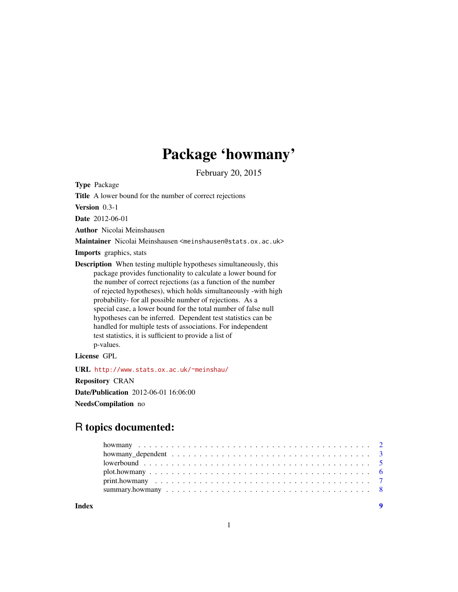## Package 'howmany'

February 20, 2015

Type Package

Title A lower bound for the number of correct rejections

Version 0.3-1

Date 2012-06-01

Author Nicolai Meinshausen

Maintainer Nicolai Meinshausen <meinshausen@stats.ox.ac.uk>

Imports graphics, stats

Description When testing multiple hypotheses simultaneously, this package provides functionality to calculate a lower bound for the number of correct rejections (as a function of the number of rejected hypotheses), which holds simultaneously -with high probability- for all possible number of rejections. As a special case, a lower bound for the total number of false null hypotheses can be inferred. Dependent test statistics can be handled for multiple tests of associations. For independent test statistics, it is sufficient to provide a list of p-values.

License GPL

URL <http://www.stats.ox.ac.uk/~meinshau/>

Repository CRAN

Date/Publication 2012-06-01 16:06:00

NeedsCompilation no

### R topics documented:

| Index |  |
|-------|--|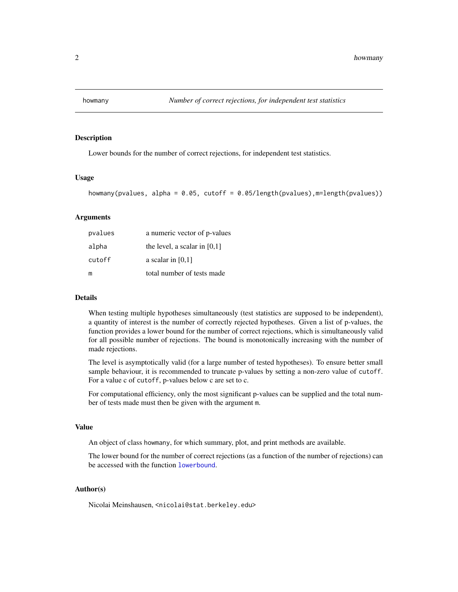<span id="page-1-1"></span><span id="page-1-0"></span>

#### Description

Lower bounds for the number of correct rejections, for independent test statistics.

#### Usage

```
howmany(pvalues, alpha = 0.05, cutoff = 0.05/length(pvalues), m=length(pvalues))
```
#### Arguments

| pvalues | a numeric vector of p-values   |
|---------|--------------------------------|
| alpha   | the level, a scalar in $[0,1]$ |
| cutoff  | a scalar in $[0,1]$            |
| m       | total number of tests made     |

#### Details

When testing multiple hypotheses simultaneously (test statistics are supposed to be independent), a quantity of interest is the number of correctly rejected hypotheses. Given a list of p-values, the function provides a lower bound for the number of correct rejections, which is simultaneously valid for all possible number of rejections. The bound is monotonically increasing with the number of made rejections.

The level is asymptotically valid (for a large number of tested hypotheses). To ensure better small sample behaviour, it is recommended to truncate p-values by setting a non-zero value of cutoff. For a value c of cutoff, p-values below c are set to c.

For computational efficiency, only the most significant p-values can be supplied and the total number of tests made must then be given with the argument m.

#### Value

An object of class howmany, for which summary, plot, and print methods are available.

The lower bound for the number of correct rejections (as a function of the number of rejections) can be accessed with the function [lowerbound](#page-4-1).

#### Author(s)

Nicolai Meinshausen, <nicolai@stat.berkeley.edu>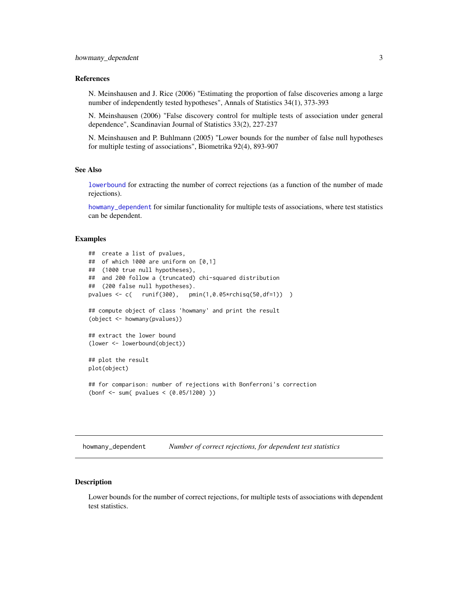#### <span id="page-2-0"></span>References

N. Meinshausen and J. Rice (2006) "Estimating the proportion of false discoveries among a large number of independently tested hypotheses", Annals of Statistics 34(1), 373-393

N. Meinshausen (2006) "False discovery control for multiple tests of association under general dependence", Scandinavian Journal of Statistics 33(2), 227-237

N. Meinshausen and P. Buhlmann (2005) "Lower bounds for the number of false null hypotheses for multiple testing of associations", Biometrika 92(4), 893-907

#### See Also

[lowerbound](#page-4-1) for extracting the number of correct rejections (as a function of the number of made rejections).

[howmany\\_dependent](#page-2-1) for similar functionality for multiple tests of associations, where test statistics can be dependent.

#### Examples

```
## create a list of pvalues,
## of which 1000 are uniform on [0,1]
## (1000 true null hypotheses),
## and 200 follow a (truncated) chi-squared distribution
## (200 false null hypotheses).
pvalues <- c( runif(300), pmin(1,0.05*rchisq(50,df=1)) )
## compute object of class 'howmany' and print the result
(object <- howmany(pvalues))
## extract the lower bound
(lower <- lowerbound(object))
## plot the result
plot(object)
## for comparison: number of rejections with Bonferroni's correction
(bonf <- sum( pvalues < (0.05/1200) ))
```
<span id="page-2-1"></span>howmany\_dependent *Number of correct rejections, for dependent test statistics*

#### **Description**

Lower bounds for the number of correct rejections, for multiple tests of associations with dependent test statistics.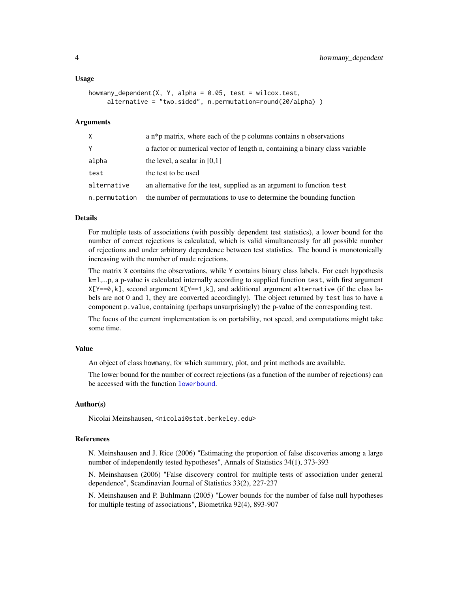#### Usage

```
howmany_dependent(X, Y, alpha = 0.05, test = wilcox.test,
     alternative = "two.sided", n.permutation=round(20/alpha) )
```
#### Arguments

| $\times$      | a $n * p$ matrix, where each of the p columns contains n observations        |
|---------------|------------------------------------------------------------------------------|
| Y             | a factor or numerical vector of length n, containing a binary class variable |
| alpha         | the level, a scalar in $[0,1]$                                               |
| test          | the test to be used                                                          |
| alternative   | an alternative for the test, supplied as an argument to function test        |
| n.permutation | the number of permutations to use to determine the bounding function         |

#### Details

For multiple tests of associations (with possibly dependent test statistics), a lower bound for the number of correct rejections is calculated, which is valid simultaneously for all possible number of rejections and under arbitrary dependence between test statistics. The bound is monotonically increasing with the number of made rejections.

The matrix X contains the observations, while Y contains binary class labels. For each hypothesis k=1,...p, a p-value is calculated internally according to supplied function test, with first argument  $X[Y==0, k]$ , second argument  $X[Y==1, k]$ , and additional argument alternative (if the class labels are not 0 and 1, they are converted accordingly). The object returned by test has to have a component p.value, containing (perhaps unsurprisingly) the p-value of the corresponding test.

The focus of the current implementation is on portability, not speed, and computations might take some time.

#### Value

An object of class howmany, for which summary, plot, and print methods are available.

The lower bound for the number of correct rejections (as a function of the number of rejections) can be accessed with the function [lowerbound](#page-4-1).

#### Author(s)

Nicolai Meinshausen, <nicolai@stat.berkeley.edu>

#### References

N. Meinshausen and J. Rice (2006) "Estimating the proportion of false discoveries among a large number of independently tested hypotheses", Annals of Statistics 34(1), 373-393

N. Meinshausen (2006) "False discovery control for multiple tests of association under general dependence", Scandinavian Journal of Statistics 33(2), 227-237

N. Meinshausen and P. Buhlmann (2005) "Lower bounds for the number of false null hypotheses for multiple testing of associations", Biometrika 92(4), 893-907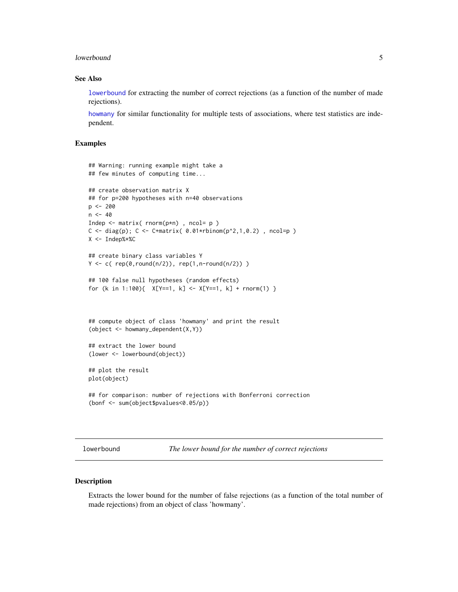#### <span id="page-4-0"></span>lowerbound 55 and 55 and 55 and 55 and 55 and 55 and 55 and 55 and 55 and 55 and 55 and 55 and 55 and 55 and 55 and 55 and 55 and 55 and 55 and 55 and 55 and 55 and 55 and 55 and 55 and 55 and 55 and 55 and 55 and 55 and 5

#### See Also

[lowerbound](#page-4-1) for extracting the number of correct rejections (as a function of the number of made rejections).

[howmany](#page-1-1) for similar functionality for multiple tests of associations, where test statistics are independent.

#### Examples

```
## Warning: running example might take a
## few minutes of computing time...
## create observation matrix X
## for p=200 hypotheses with n=40 observations
p <- 200
n < -40Indep \leq matrix( rnorm(p*n), ncol= p)
C \leq -diag(p); C \leq -C + matrix( 0.01 * rbinom{p^2, 1, 0.2}, ncol=p )
X <- Indep%*%C
## create binary class variables Y
Y \leftarrow c (rep(0,round(n/2)), rep(1,n-round(n/2)))
## 100 false null hypotheses (random effects)
for (k in 1:100){ X[Y==1, k] \leq X[Y==1, k] + \text{rnorm}(1) }
## compute object of class 'howmany' and print the result
(object <- howmany_dependent(X,Y))
## extract the lower bound
(lower <- lowerbound(object))
## plot the result
plot(object)
## for comparison: number of rejections with Bonferroni correction
(bonf <- sum(object$pvalues<0.05/p))
```
<span id="page-4-1"></span>lowerbound *The lower bound for the number of correct rejections*

#### Description

Extracts the lower bound for the number of false rejections (as a function of the total number of made rejections) from an object of class 'howmany'.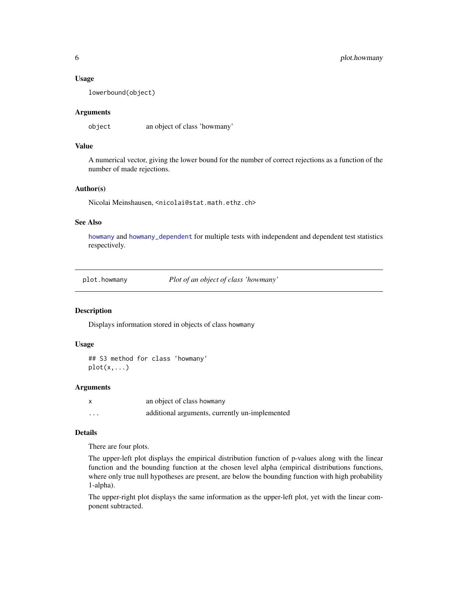#### <span id="page-5-0"></span>Usage

lowerbound(object)

#### Arguments

object an object of class 'howmany'

#### Value

A numerical vector, giving the lower bound for the number of correct rejections as a function of the number of made rejections.

#### Author(s)

Nicolai Meinshausen, <nicolai@stat.math.ethz.ch>

#### See Also

[howmany](#page-1-1) and [howmany\\_dependent](#page-2-1) for multiple tests with independent and dependent test statistics respectively.

<span id="page-5-1"></span>plot.howmany *Plot of an object of class 'howmany'*

#### Description

Displays information stored in objects of class howmany

#### Usage

```
## S3 method for class 'howmany'
plot(x,...)
```
#### Arguments

| X        | an object of class howmany                     |
|----------|------------------------------------------------|
| $\cdots$ | additional arguments, currently un-implemented |

#### Details

There are four plots.

The upper-left plot displays the empirical distribution function of p-values along with the linear function and the bounding function at the chosen level alpha (empirical distributions functions, where only true null hypotheses are present, are below the bounding function with high probability 1-alpha).

The upper-right plot displays the same information as the upper-left plot, yet with the linear component subtracted.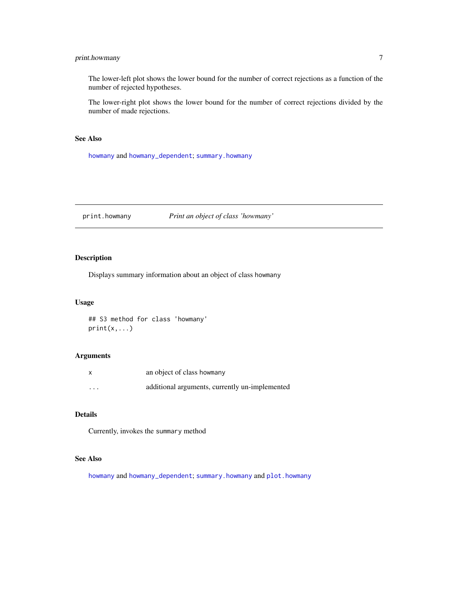#### <span id="page-6-0"></span>print.howmany 7

The lower-left plot shows the lower bound for the number of correct rejections as a function of the number of rejected hypotheses.

The lower-right plot shows the lower bound for the number of correct rejections divided by the number of made rejections.

#### See Also

[howmany](#page-1-1) and [howmany\\_dependent](#page-2-1); [summary.howmany](#page-7-1)

print.howmany *Print an object of class 'howmany'*

#### Description

Displays summary information about an object of class howmany

#### Usage

## S3 method for class 'howmany'  $print(x,...)$ 

#### Arguments

|         | an object of class howmany                     |
|---------|------------------------------------------------|
| $\cdot$ | additional arguments, currently un-implemented |

#### Details

Currently, invokes the summary method

#### See Also

[howmany](#page-1-1) and [howmany\\_dependent](#page-2-1); [summary.howmany](#page-7-1) and [plot.howmany](#page-5-1)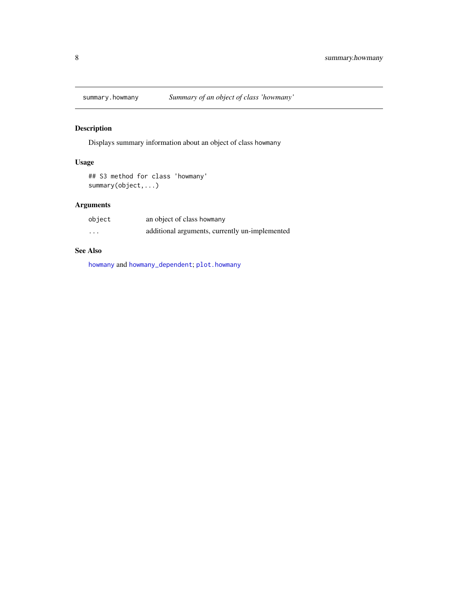<span id="page-7-1"></span><span id="page-7-0"></span>

#### Description

Displays summary information about an object of class howmany

#### Usage

## S3 method for class 'howmany' summary(object,...)

#### Arguments

| object   | an object of class howmany                     |
|----------|------------------------------------------------|
| $\cdots$ | additional arguments, currently un-implemented |

#### See Also

[howmany](#page-1-1) and [howmany\\_dependent](#page-2-1); [plot.howmany](#page-5-1)